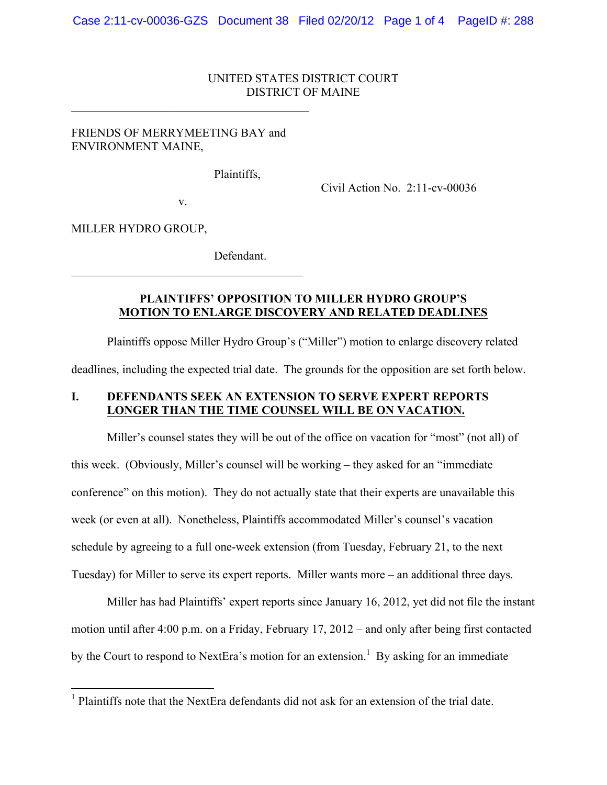#### UNITED STATES DISTRICT COURT DISTRICT OF MAINE

## FRIENDS OF MERRYMEETING BAY and ENVIRONMENT MAINE,

 $\mathcal{L}_\text{max}$  , and the set of the set of the set of the set of the set of the set of the set of the set of the set of the set of the set of the set of the set of the set of the set of the set of the set of the set of the

Plaintiffs,

Civil Action No. 2:11-cv-00036

v.

 $\mathcal{L}_\text{max}$ 

MILLER HYDRO GROUP,

Defendant.

# **PLAINTIFFS' OPPOSITION TO MILLER HYDRO GROUP'S MOTION TO ENLARGE DISCOVERY AND RELATED DEADLINES**

Plaintiffs oppose Miller Hydro Group's ("Miller") motion to enlarge discovery related

deadlines, including the expected trial date. The grounds for the opposition are set forth below.

## **I. DEFENDANTS SEEK AN EXTENSION TO SERVE EXPERT REPORTS LONGER THAN THE TIME COUNSEL WILL BE ON VACATION.**

Miller's counsel states they will be out of the office on vacation for "most" (not all) of this week. (Obviously, Miller's counsel will be working – they asked for an "immediate conference" on this motion). They do not actually state that their experts are unavailable this week (or even at all). Nonetheless, Plaintiffs accommodated Miller's counsel's vacation schedule by agreeing to a full one-week extension (from Tuesday, February 21, to the next Tuesday) for Miller to serve its expert reports. Miller wants more – an additional three days.

Miller has had Plaintiffs' expert reports since January 16, 2012, yet did not file the instant motion until after 4:00 p.m. on a Friday, February 17, 2012 – and only after being first contacted by the Court to respond to NextEra's motion for an extension.<sup>1</sup> By asking for an immediate

 $<sup>1</sup>$  Plaintiffs note that the NextEra defendants did not ask for an extension of the trial date.</sup>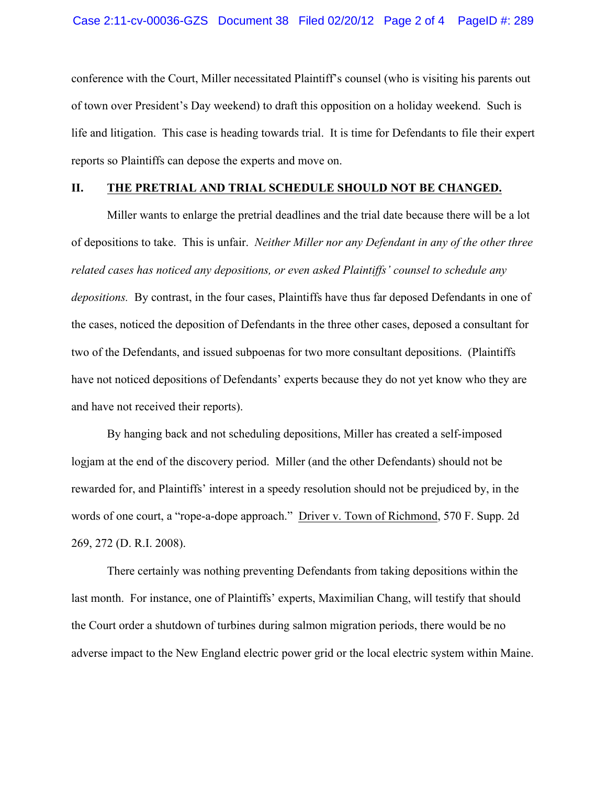conference with the Court, Miller necessitated Plaintiff's counsel (who is visiting his parents out of town over President's Day weekend) to draft this opposition on a holiday weekend. Such is life and litigation. This case is heading towards trial. It is time for Defendants to file their expert reports so Plaintiffs can depose the experts and move on.

#### **II. THE PRETRIAL AND TRIAL SCHEDULE SHOULD NOT BE CHANGED.**

Miller wants to enlarge the pretrial deadlines and the trial date because there will be a lot of depositions to take. This is unfair. *Neither Miller nor any Defendant in any of the other three related cases has noticed any depositions, or even asked Plaintiffs' counsel to schedule any depositions.* By contrast, in the four cases, Plaintiffs have thus far deposed Defendants in one of the cases, noticed the deposition of Defendants in the three other cases, deposed a consultant for two of the Defendants, and issued subpoenas for two more consultant depositions. (Plaintiffs have not noticed depositions of Defendants' experts because they do not yet know who they are and have not received their reports).

By hanging back and not scheduling depositions, Miller has created a self-imposed logjam at the end of the discovery period. Miller (and the other Defendants) should not be rewarded for, and Plaintiffs' interest in a speedy resolution should not be prejudiced by, in the words of one court, a "rope-a-dope approach." Driver v. Town of Richmond, 570 F. Supp. 2d 269, 272 (D. R.I. 2008).

There certainly was nothing preventing Defendants from taking depositions within the last month. For instance, one of Plaintiffs' experts, Maximilian Chang, will testify that should the Court order a shutdown of turbines during salmon migration periods, there would be no adverse impact to the New England electric power grid or the local electric system within Maine.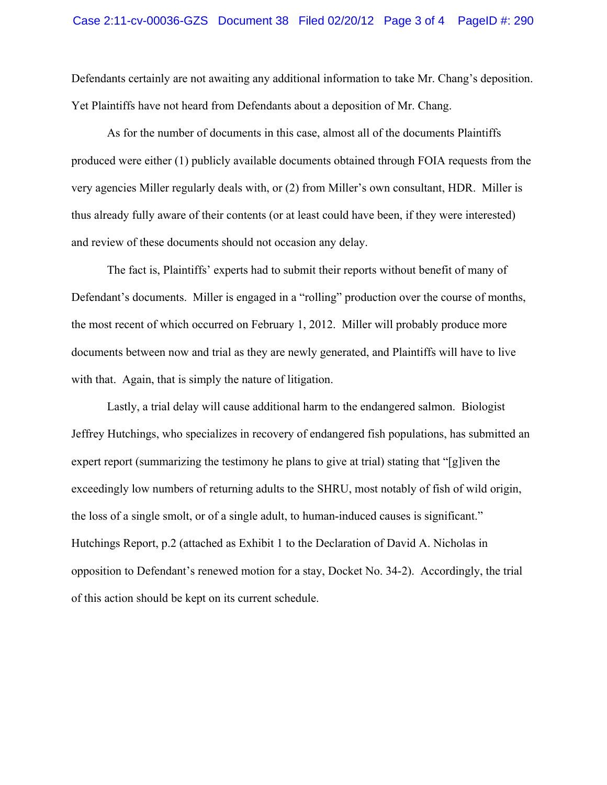Defendants certainly are not awaiting any additional information to take Mr. Chang's deposition. Yet Plaintiffs have not heard from Defendants about a deposition of Mr. Chang.

As for the number of documents in this case, almost all of the documents Plaintiffs produced were either (1) publicly available documents obtained through FOIA requests from the very agencies Miller regularly deals with, or (2) from Miller's own consultant, HDR. Miller is thus already fully aware of their contents (or at least could have been, if they were interested) and review of these documents should not occasion any delay.

The fact is, Plaintiffs' experts had to submit their reports without benefit of many of Defendant's documents. Miller is engaged in a "rolling" production over the course of months, the most recent of which occurred on February 1, 2012. Miller will probably produce more documents between now and trial as they are newly generated, and Plaintiffs will have to live with that. Again, that is simply the nature of litigation.

Lastly, a trial delay will cause additional harm to the endangered salmon. Biologist Jeffrey Hutchings, who specializes in recovery of endangered fish populations, has submitted an expert report (summarizing the testimony he plans to give at trial) stating that "[g]iven the exceedingly low numbers of returning adults to the SHRU, most notably of fish of wild origin, the loss of a single smolt, or of a single adult, to human-induced causes is significant." Hutchings Report, p.2 (attached as Exhibit 1 to the Declaration of David A. Nicholas in opposition to Defendant's renewed motion for a stay, Docket No. 34-2). Accordingly, the trial of this action should be kept on its current schedule.